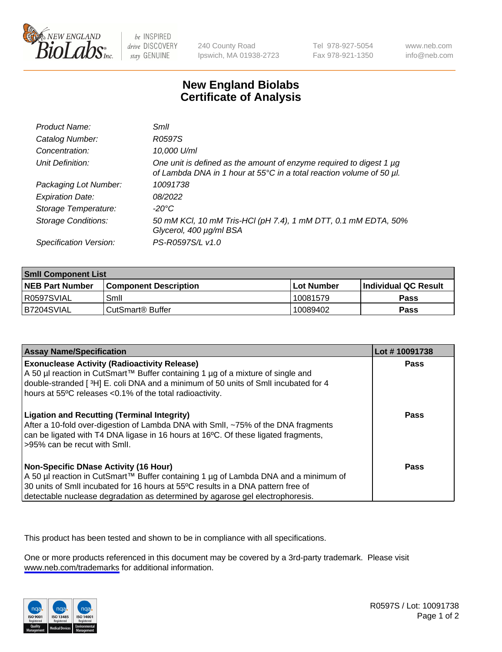

be INSPIRED drive DISCOVERY stay GENUINE

240 County Road Ipswich, MA 01938-2723 Tel 978-927-5054 Fax 978-921-1350

www.neb.com info@neb.com

## **New England Biolabs Certificate of Analysis**

| Product Name:              | Smll                                                                                                                                        |
|----------------------------|---------------------------------------------------------------------------------------------------------------------------------------------|
| Catalog Number:            | R0597S                                                                                                                                      |
| Concentration:             | 10,000 U/ml                                                                                                                                 |
| Unit Definition:           | One unit is defined as the amount of enzyme required to digest 1 µg<br>of Lambda DNA in 1 hour at 55°C in a total reaction volume of 50 µl. |
| Packaging Lot Number:      | 10091738                                                                                                                                    |
| <b>Expiration Date:</b>    | 08/2022                                                                                                                                     |
| Storage Temperature:       | -20°C                                                                                                                                       |
| <b>Storage Conditions:</b> | 50 mM KCl, 10 mM Tris-HCl (pH 7.4), 1 mM DTT, 0.1 mM EDTA, 50%<br>Glycerol, 400 µg/ml BSA                                                   |
| Specification Version:     | PS-R0597S/L v1.0                                                                                                                            |

| <b>Smil Component List</b> |                              |             |                             |  |
|----------------------------|------------------------------|-------------|-----------------------------|--|
| <b>NEB Part Number</b>     | <b>Component Description</b> | ⊺Lot Number | <b>Individual QC Result</b> |  |
| I R0597SVIAL               | Smil                         | 10081579    | Pass                        |  |
| B7204SVIAL                 | l CutSmart® Buffer           | 10089402    | Pass                        |  |

| <b>Assay Name/Specification</b>                                                                                                                                                                                                                                                                          | Lot #10091738 |
|----------------------------------------------------------------------------------------------------------------------------------------------------------------------------------------------------------------------------------------------------------------------------------------------------------|---------------|
| <b>Exonuclease Activity (Radioactivity Release)</b><br>A 50 µl reaction in CutSmart™ Buffer containing 1 µg of a mixture of single and<br>double-stranded [3H] E. coli DNA and a minimum of 50 units of SmII incubated for 4<br>hours at 55°C releases <0.1% of the total radioactivity.                 | Pass          |
| <b>Ligation and Recutting (Terminal Integrity)</b><br>After a 10-fold over-digestion of Lambda DNA with Smll, ~75% of the DNA fragments<br>can be ligated with T4 DNA ligase in 16 hours at 16°C. Of these ligated fragments,<br>>95% can be recut with Smll.                                            | <b>Pass</b>   |
| <b>Non-Specific DNase Activity (16 Hour)</b><br>A 50 µl reaction in CutSmart™ Buffer containing 1 µg of Lambda DNA and a minimum of<br>30 units of SmII incubated for 16 hours at 55°C results in a DNA pattern free of<br>detectable nuclease degradation as determined by agarose gel electrophoresis. | Pass          |

This product has been tested and shown to be in compliance with all specifications.

One or more products referenced in this document may be covered by a 3rd-party trademark. Please visit <www.neb.com/trademarks>for additional information.